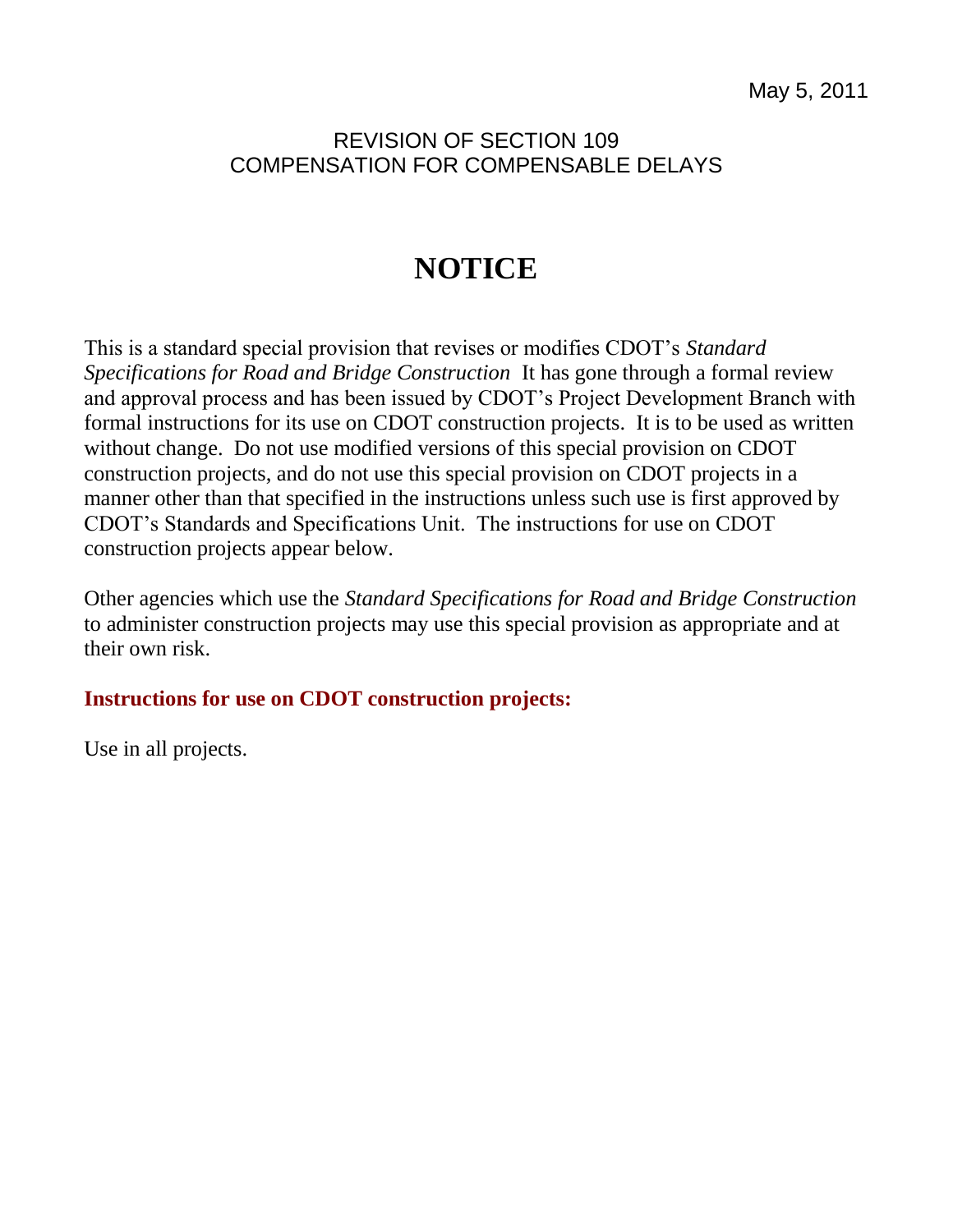## REVISION OF SECTION 109 COMPENSATION FOR COMPENSABLE DELAYS

## **NOTICE**

This is a standard special provision that revises or modifies CDOT's *Standard Specifications for Road and Bridge Construction* It has gone through a formal review and approval process and has been issued by CDOT's Project Development Branch with formal instructions for its use on CDOT construction projects. It is to be used as written without change. Do not use modified versions of this special provision on CDOT construction projects, and do not use this special provision on CDOT projects in a manner other than that specified in the instructions unless such use is first approved by CDOT's Standards and Specifications Unit. The instructions for use on CDOT construction projects appear below.

Other agencies which use the *Standard Specifications for Road and Bridge Construction* to administer construction projects may use this special provision as appropriate and at their own risk.

## **Instructions for use on CDOT construction projects:**

Use in all projects.